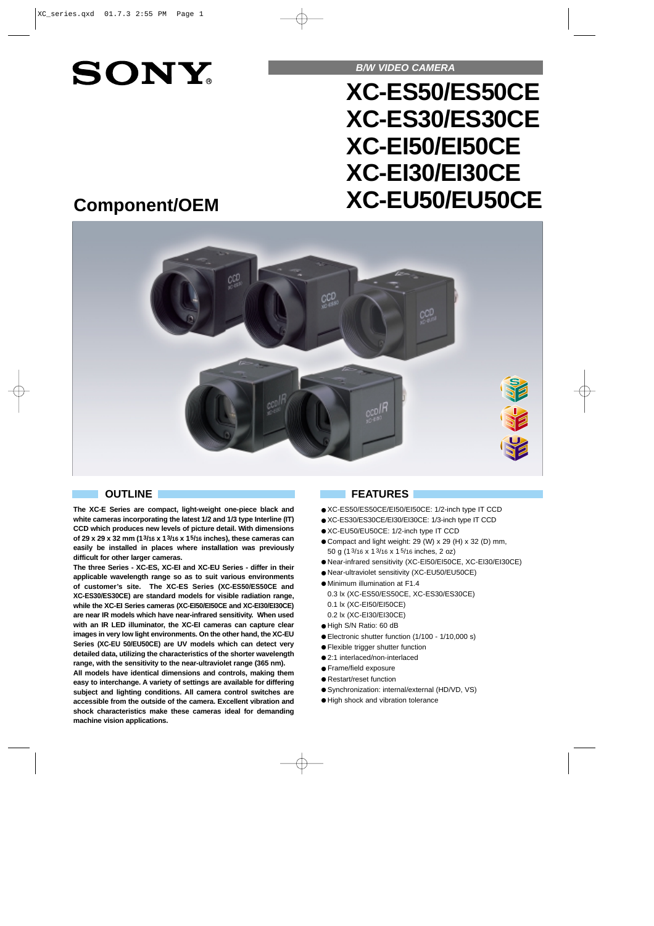# **SONY**

**B/W VIDEO CAMERA**

# **XC-ES50/ES50CE XC-ES30/ES30CE XC-EI50/EI50CE XC-EI30/EI30CE XC-EU50/EU50CE**

# **Component/OEM**



**The XC-E Series are compact, light-weight one-piece black and white cameras incorporating the latest 1/2 and 1/3 type Interline (IT) CCD which produces new levels of picture detail. With dimensions of 29 x 29 x 32 mm (13/16 x 13/16 x 15/16 inches), these cameras can easily be installed in places where installation was previously difficult for other larger cameras.**

**The three Series - XC-ES, XC-EI and XC-EU Series - differ in their applicable wavelength range so as to suit various environments of customer's site. The XC-ES Series (XC-ES50/ES50CE and XC-ES30/ES30CE) are standard models for visible radiation range, while the XC-EI Series cameras (XC-EI50/EI50CE and XC-EI30/EI30CE) are near IR models which have near-infrared sensitivity. When used with an IR LED illuminator, the XC-EI cameras can capture clear images in very low light environments. On the other hand, the XC-EU Series (XC-EU 50/EU50CE) are UV models which can detect very detailed data, utilizing the characteristics of the shorter wavelength range, with the sensitivity to the near-ultraviolet range (365 nm).** 

**All models have identical dimensions and controls, making them easy to interchange. A variety of settings are available for differing subject and lighting conditions. All camera control switches are accessible from the outside of the camera. Excellent vibration and shock characteristics make these cameras ideal for demanding machine vision applications.** 

## **OUTLINE FEATURES**

- XC-ES50/ES50CE/EI50/EI50CE: 1/2-inch type IT CCD
- XC-ES30/ES30CE/EI30/EI30CE: 1/3-inch type IT CCD
- XC-EU50/EU50CE: 1/2-inch type IT CCD
- Compact and light weight: 29 (W) x 29 (H) x 32 (D) mm, 50 g (13/16 x 13/16 x 15/16 inches, 2 oz)
- Near-infrared sensitivity (XC-EI50/EI50CE, XC-EI30/EI30CE)
- Near-ultraviolet sensitivity (XC-EU50/EU50CE)
- Minimum illumination at F1.4 0.3 lx (XC-ES50/ES50CE, XC-ES30/ES30CE) 0.1 lx (XC-EI50/EI50CE) 0.2 lx (XC-EI30/EI30CE)
- High S/N Ratio: 60 dB
- Electronic shutter function (1/100 1/10,000 s)
- Flexible trigger shutter function
- 2:1 interlaced/non-interlaced
- Frame/field exposure
- Restart/reset function
- Synchronization: internal/external (HD/VD, VS)
- High shock and vibration tolerance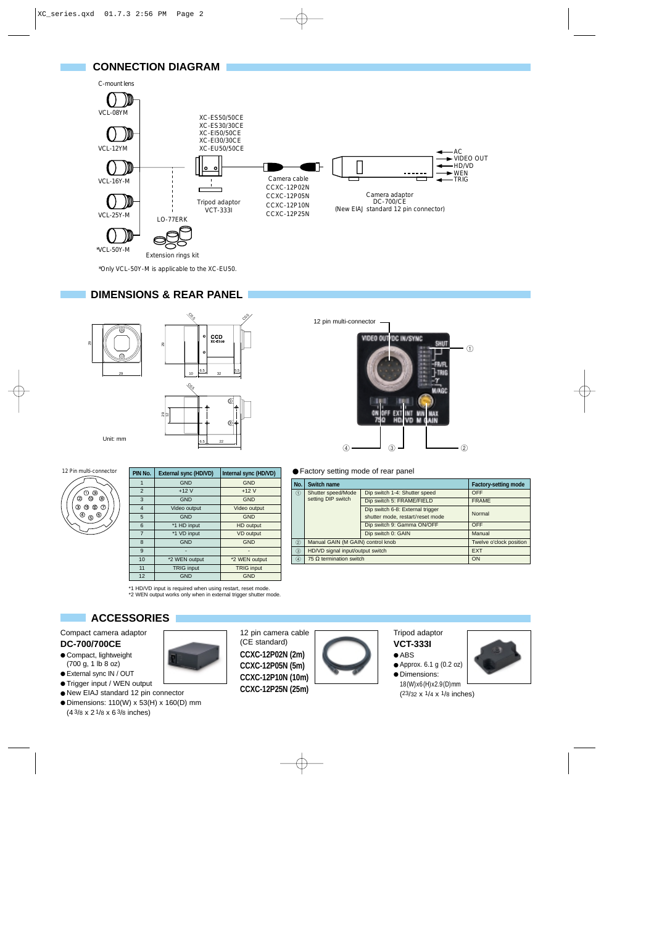

\*Only VCL-50Y-M is applicable to the XC-EU50.

#### **DIMENSIONS & REAR PANEL**





| PIN No.        | External sync (HD/VD) | Internal sync (HD/VD) |
|----------------|-----------------------|-----------------------|
|                | <b>GND</b>            | <b>GND</b>            |
| $\overline{2}$ | $+12V$                | $+12V$                |
| 3              | <b>GND</b>            | <b>GND</b>            |
| $\overline{4}$ | Video output          | Video output          |
| 5              | <b>GND</b>            | <b>GND</b>            |
| 6              | *1 HD input           | HD output             |
| $\overline{7}$ | *1 VD input           | VD output             |
| 8              | <b>GND</b>            | <b>GND</b>            |
| 9              |                       |                       |
| 10             | *2 WEN output         | *2 WEN output         |
| 11             | <b>TRIG input</b>     | <b>TRIG</b> input     |
| 12             | <b>GND</b>            | <b>GND</b>            |

\*1 HD/VD input is required when using restart, reset mode. \*2 WEN output works only when in external trigger shutter mode.

(CE standard)

## **ACCESSORIES**

Compact camera adaptor **DC-700/700CE** ● Compact, lightweight

- (700 g, 1 lb 8 oz)
- External sync IN / OUT
- Trigger input / WEN output
- New EIAJ standard 12 pin connector
- Dimensions: 110(W) x 53(H) x 160(D) mm (4 3/8 x 2 1/8 x 6 3/8 inches)



● Factory setting mode of rear panel

12 pin multi-connector

| No.           | Switch name                       | <b>Factory-setting mode</b>                                          |              |
|---------------|-----------------------------------|----------------------------------------------------------------------|--------------|
| $\circled{1}$ | Shutter speed/Mode                | Dip switch 1-4: Shutter speed                                        | OFF          |
|               | setting DIP switch                | Dip switch 5: FRAME/FIELD                                            | <b>FRAME</b> |
|               |                                   | Dip switch 6-8: External trigger<br>shutter mode, restart/reset mode | Normal       |
|               |                                   | Dip switch 9: Gamma ON/OFF                                           | <b>OFF</b>   |
|               |                                   | Dip switch 0: GAIN                                                   | Manual       |
| (2)           | Manual GAIN (M GAIN) control knob | Twelve o'clock position                                              |              |
| (3)           | HD/VD signal input/output switch  | <b>EXT</b>                                                           |              |
| $\circled{4}$ | 75 $\Omega$ termination switch    | ON                                                                   |              |



Tripod adaptor **VCT-333I**  $\bullet$  ABS

- Approx. 6.1 g (0.2 oz)
- Dimensions:

18(W)x6(H)x2.9(D)mm (23/32 x 1/4 x 1/8 inches)

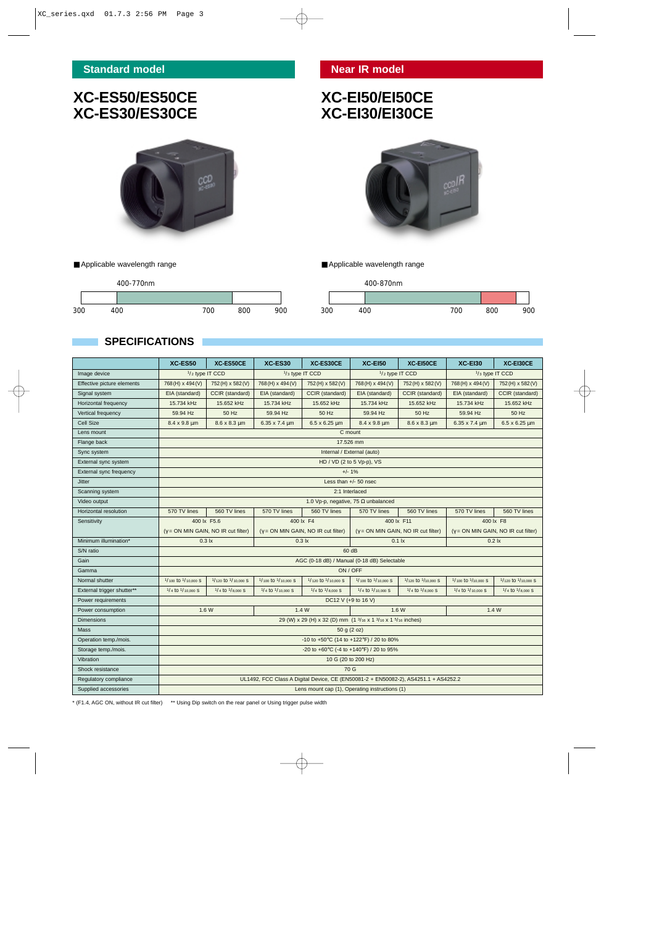■ Applicable wavelength range

# **XC-ES50/ES50CE XC-ES30/ES30CE**

nФ

# **XC-EI50/EI50CE XC-EI30/EI30CE**



300 400 700 800 900

■ Applicable wavelength range

400-870nm



## **SPECIFICATIONS**

|                            | XC-ES50                                                                                                                 | XC-ES50CE              | XC-ES30                     | XC-ES30CE                    | <b>XC-E150</b>                              | XC-EI50CE              | XC-EI30                                   | XC-EI30CE                    |
|----------------------------|-------------------------------------------------------------------------------------------------------------------------|------------------------|-----------------------------|------------------------------|---------------------------------------------|------------------------|-------------------------------------------|------------------------------|
| Image device               | 1/ <sub>2</sub> type IT CCD<br>1/ <sub>3</sub> type IT CCD                                                              |                        | 1/ <sub>2</sub> type IT CCD |                              | 1/ <sub>3</sub> type IT CCD                 |                        |                                           |                              |
| Effective picture elements | 768 (H) x 494 (V)                                                                                                       | 752 (H) x 582 (V)      | 768 (H) x 494 (V)           | 752(H) x 582(V)              | 768 (H) x 494 (V)                           | 752 (H) x 582 (V)      | 768(H) x 494(V)                           | 752 (H) x 582 (V)            |
| Signal system              | EIA (standard)                                                                                                          | CCIR (standard)        | EIA (standard)              | CCIR (standard)              | EIA (standard)                              | CCIR (standard)        | EIA (standard)                            | CCIR (standard)              |
| Horizontal frequency       | 15.734 kHz                                                                                                              | 15.652 kHz             | 15.734 kHz                  | 15.652 kHz                   | 15.734 kHz                                  | 15.652 kHz             | 15.734 kHz                                | 15.652 kHz                   |
| Vertical frequency         | 59.94 Hz                                                                                                                | 50 Hz                  | 59.94 Hz                    | 50 Hz                        | 59.94 Hz                                    | 50 Hz                  | 59.94 Hz                                  | 50 Hz                        |
| Cell Size                  | 8.4 x 9.8 um                                                                                                            | $8.6 \times 8.3 \mu m$ | $6.35 \times 7.4 \mu m$     | $6.5 \times 6.25 \text{ µm}$ | $8.4 \times 9.8 \mu m$                      | $8.6 \times 8.3 \mu m$ | 6.35 x 7.4 um                             | $6.5 \times 6.25 \text{ µm}$ |
| Lens mount                 | C mount                                                                                                                 |                        |                             |                              |                                             |                        |                                           |                              |
| Flange back                | 17,526 mm                                                                                                               |                        |                             |                              |                                             |                        |                                           |                              |
| Sync system                |                                                                                                                         |                        |                             |                              | Internal / External (auto)                  |                        |                                           |                              |
| External sync system       | HD / VD (2 to 5 Vp-p), VS                                                                                               |                        |                             |                              |                                             |                        |                                           |                              |
| External sync frequency    | $+/- 1%$                                                                                                                |                        |                             |                              |                                             |                        |                                           |                              |
| <b>Jitter</b>              | Less than $+/-$ 50 nsec                                                                                                 |                        |                             |                              |                                             |                        |                                           |                              |
| Scanning system            | 2:1 Interlaced                                                                                                          |                        |                             |                              |                                             |                        |                                           |                              |
| Video output               | 1.0 Vp-p, negative, 75 $\Omega$ unbalanced                                                                              |                        |                             |                              |                                             |                        |                                           |                              |
| Horizontal resolution      | 570 TV lines                                                                                                            | 560 TV lines           | 570 TV lines                | 560 TV lines                 | 570 TV lines                                | 560 TV lines           | 570 TV lines                              | 560 TV lines                 |
| Sensitivity                | 400 lx F5.6                                                                                                             |                        | 400 lx F4<br>400 lx F11     |                              | 400 lx F8                                   |                        |                                           |                              |
|                            | $(y = ON$ MIN GAIN, NO IR cut filter)<br>$(y = ON MIN GAIN, NO IR cut filter)$<br>$(y = ON$ MIN GAIN, NO IR cut filter) |                        |                             |                              | $(y = ON$ MIN GAIN, NO IR cut filter)       |                        |                                           |                              |
| Minimum illumination*      | $0.3$ $\mathsf{k}$<br>$0.3$ $\mathsf{lx}$                                                                               |                        |                             |                              | $0.1$ $\mathsf{x}$<br>$0.2$ $\mathsf{lx}$   |                        |                                           |                              |
| S/N ratio                  | 60 dB                                                                                                                   |                        |                             |                              |                                             |                        |                                           |                              |
| Gain                       | AGC (0-18 dB) / Manual (0-18 dB) Selectable                                                                             |                        |                             |                              |                                             |                        |                                           |                              |
| Gamma                      | ON / OFF                                                                                                                |                        |                             |                              |                                             |                        |                                           |                              |
| Normal shutter             | 1/100 to 1/10,000 S                                                                                                     | 1/120 to 1/10,000 S    | 1/100 to 1/10,000 S         | 1/120 to 1/10,000 S          | 1/ <sub>100</sub> to 1/ <sub>10,000</sub> S | 1/120 to 1/10,000 S    | 1/100 to 1/10,000 S                       | 1/120 to 1/10,000 S          |
| External trigger shutter** | 1/ <sub>4</sub> to 1/ <sub>10,000</sub> S                                                                               | $1/4$ to $1/8,000$ S   | $1/4$ to $1/10,000$ S       | $1/4$ to $1/8,000$ S         | $1/4$ to $1/10,000$ S                       | $1/4$ to $1/8,000$ S   | 1/ <sub>4</sub> to 1/ <sub>10,000</sub> S | $1/4$ to $1/8,000$ S         |
| Power requirements         | DC12 V (+9 to 16 V)                                                                                                     |                        |                             |                              |                                             |                        |                                           |                              |
| Power consumption          | 1.6W<br>1.4 W                                                                                                           |                        |                             |                              | 1.6W                                        |                        | 1.4W                                      |                              |
| <b>Dimensions</b>          | 29 (W) x 29 (H) x 32 (D) mm (1 3/16 x 1 3/16 x 1 5/16 inches)                                                           |                        |                             |                              |                                             |                        |                                           |                              |
| Mass                       | 50 g (2 oz)                                                                                                             |                        |                             |                              |                                             |                        |                                           |                              |
| Operation temp./mois.      | -10 to +50°C (14 to +122°F) / 20 to 80%                                                                                 |                        |                             |                              |                                             |                        |                                           |                              |
| Storage temp./mois.        | -20 to +60°C (-4 to +140°F) / 20 to 95%                                                                                 |                        |                             |                              |                                             |                        |                                           |                              |
| Vibration                  | 10 G (20 to 200 Hz)                                                                                                     |                        |                             |                              |                                             |                        |                                           |                              |
| Shock resistance           | 70 G                                                                                                                    |                        |                             |                              |                                             |                        |                                           |                              |
| Regulatory compliance      | UL1492, FCC Class A Digital Device, CE (EN50081-2 + EN50082-2), AS4251.1 + AS4252.2                                     |                        |                             |                              |                                             |                        |                                           |                              |
| Supplied accessories       | Lens mount cap (1), Operating instructions (1)                                                                          |                        |                             |                              |                                             |                        |                                           |                              |

\* (F1.4, AGC ON, without IR cut filter) \*\* Using Dip switch on the rear panel or Using trigger pulse width